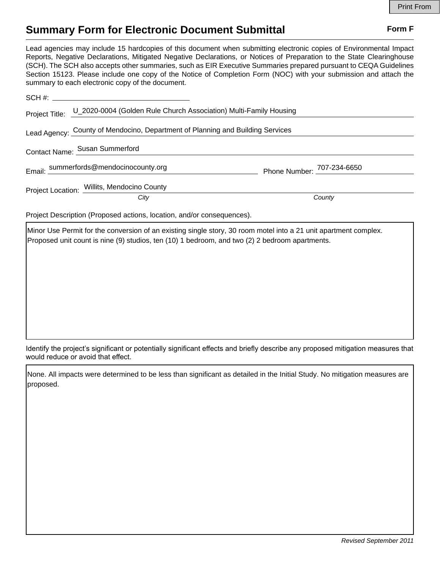## **Summary Form for Electronic Document Submittal Form F Form F**

Lead agencies may include 15 hardcopies of this document when submitting electronic copies of Environmental Impact Reports, Negative Declarations, Mitigated Negative Declarations, or Notices of Preparation to the State Clearinghouse (SCH). The SCH also accepts other summaries, such as EIR Executive Summaries prepared pursuant to CEQA Guidelines Section 15123. Please include one copy of the Notice of Completion Form (NOC) with your submission and attach the summary to each electronic copy of the document.

|                                                                                | Project Title: U_2020-0004 (Golden Rule Church Association) Multi-Family Housing |                            |
|--------------------------------------------------------------------------------|----------------------------------------------------------------------------------|----------------------------|
| Lead Agency: County of Mendocino, Department of Planning and Building Services |                                                                                  |                            |
| Contact Name: Susan Summerford                                                 |                                                                                  |                            |
|                                                                                | Email: summerfords@mendocinocounty.org                                           | Phone Number: 707-234-6650 |
|                                                                                | Project Location: Willits, Mendocino County<br>City                              | County                     |

Project Description (Proposed actions, location, and/or consequences).

Minor Use Permit for the conversion of an existing single story, 30 room motel into a 21 unit apartment complex. Proposed unit count is nine (9) studios, ten (10) 1 bedroom, and two (2) 2 bedroom apartments.

Identify the project's significant or potentially significant effects and briefly describe any proposed mitigation measures that would reduce or avoid that effect.

None. All impacts were determined to be less than significant as detailed in the Initial Study. No mitigation measures are proposed.